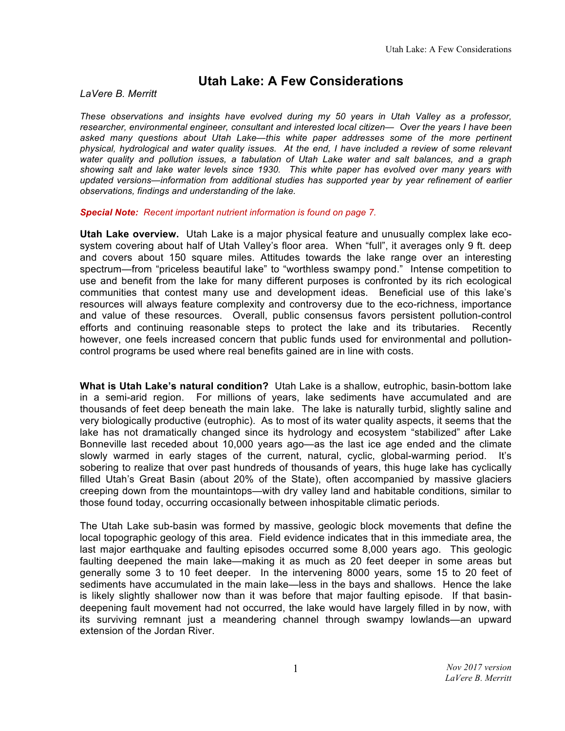## **Utah Lake: A Few Considerations**

*LaVere B. Merritt* 

*These observations and insights have evolved during my 50 years in Utah Valley as a professor, researcher, environmental engineer, consultant and interested local citizen— Over the years I have been asked many questions about Utah Lake—this white paper addresses some of the more pertinent physical, hydrological and water quality issues. At the end, I have included a review of some relevant water quality and pollution issues, a tabulation of Utah Lake water and salt balances, and a graph showing salt and lake water levels since 1930. This white paper has evolved over many years with updated versions—information from additional studies has supported year by year refinement of earlier observations, findings and understanding of the lake.*

*Special Note: Recent important nutrient information is found on page 7.*

**Utah Lake overview.** Utah Lake is a major physical feature and unusually complex lake ecosystem covering about half of Utah Valley's floor area. When "full", it averages only 9 ft. deep and covers about 150 square miles. Attitudes towards the lake range over an interesting spectrum—from "priceless beautiful lake" to "worthless swampy pond." Intense competition to use and benefit from the lake for many different purposes is confronted by its rich ecological communities that contest many use and development ideas. Beneficial use of this lake's resources will always feature complexity and controversy due to the eco-richness, importance and value of these resources. Overall, public consensus favors persistent pollution-control efforts and continuing reasonable steps to protect the lake and its tributaries. Recently however, one feels increased concern that public funds used for environmental and pollutioncontrol programs be used where real benefits gained are in line with costs.

**What is Utah Lake's natural condition?** Utah Lake is a shallow, eutrophic, basin-bottom lake in a semi-arid region. For millions of years, lake sediments have accumulated and are thousands of feet deep beneath the main lake. The lake is naturally turbid, slightly saline and very biologically productive (eutrophic). As to most of its water quality aspects, it seems that the lake has not dramatically changed since its hydrology and ecosystem "stabilized" after Lake Bonneville last receded about 10,000 years ago—as the last ice age ended and the climate slowly warmed in early stages of the current, natural, cyclic, global-warming period. It's sobering to realize that over past hundreds of thousands of years, this huge lake has cyclically filled Utah's Great Basin (about 20% of the State), often accompanied by massive glaciers creeping down from the mountaintops—with dry valley land and habitable conditions, similar to those found today, occurring occasionally between inhospitable climatic periods.

The Utah Lake sub-basin was formed by massive, geologic block movements that define the local topographic geology of this area. Field evidence indicates that in this immediate area, the last major earthquake and faulting episodes occurred some 8,000 years ago. This geologic faulting deepened the main lake—making it as much as 20 feet deeper in some areas but generally some 3 to 10 feet deeper. In the intervening 8000 years, some 15 to 20 feet of sediments have accumulated in the main lake—less in the bays and shallows. Hence the lake is likely slightly shallower now than it was before that major faulting episode. If that basindeepening fault movement had not occurred, the lake would have largely filled in by now, with its surviving remnant just a meandering channel through swampy lowlands—an upward extension of the Jordan River.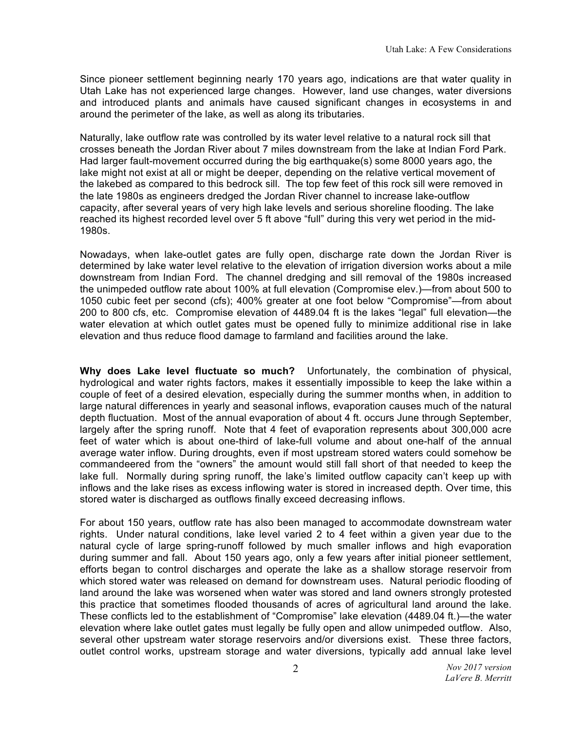Since pioneer settlement beginning nearly 170 years ago, indications are that water quality in Utah Lake has not experienced large changes. However, land use changes, water diversions and introduced plants and animals have caused significant changes in ecosystems in and around the perimeter of the lake, as well as along its tributaries.

Naturally, lake outflow rate was controlled by its water level relative to a natural rock sill that crosses beneath the Jordan River about 7 miles downstream from the lake at Indian Ford Park. Had larger fault-movement occurred during the big earthquake(s) some 8000 years ago, the lake might not exist at all or might be deeper, depending on the relative vertical movement of the lakebed as compared to this bedrock sill. The top few feet of this rock sill were removed in the late 1980s as engineers dredged the Jordan River channel to increase lake-outflow capacity, after several years of very high lake levels and serious shoreline flooding. The lake reached its highest recorded level over 5 ft above "full" during this very wet period in the mid-1980s.

Nowadays, when lake-outlet gates are fully open, discharge rate down the Jordan River is determined by lake water level relative to the elevation of irrigation diversion works about a mile downstream from Indian Ford. The channel dredging and sill removal of the 1980s increased the unimpeded outflow rate about 100% at full elevation (Compromise elev.)—from about 500 to 1050 cubic feet per second (cfs); 400% greater at one foot below "Compromise"—from about 200 to 800 cfs, etc. Compromise elevation of 4489.04 ft is the lakes "legal" full elevation—the water elevation at which outlet gates must be opened fully to minimize additional rise in lake elevation and thus reduce flood damage to farmland and facilities around the lake.

**Why does Lake level fluctuate so much?** Unfortunately, the combination of physical, hydrological and water rights factors, makes it essentially impossible to keep the lake within a couple of feet of a desired elevation, especially during the summer months when, in addition to large natural differences in yearly and seasonal inflows, evaporation causes much of the natural depth fluctuation. Most of the annual evaporation of about 4 ft. occurs June through September, largely after the spring runoff. Note that 4 feet of evaporation represents about 300,000 acre feet of water which is about one-third of lake-full volume and about one-half of the annual average water inflow. During droughts, even if most upstream stored waters could somehow be commandeered from the "owners" the amount would still fall short of that needed to keep the lake full. Normally during spring runoff, the lake's limited outflow capacity can't keep up with inflows and the lake rises as excess inflowing water is stored in increased depth. Over time, this stored water is discharged as outflows finally exceed decreasing inflows.

For about 150 years, outflow rate has also been managed to accommodate downstream water rights. Under natural conditions, lake level varied 2 to 4 feet within a given year due to the natural cycle of large spring-runoff followed by much smaller inflows and high evaporation during summer and fall. About 150 years ago, only a few years after initial pioneer settlement, efforts began to control discharges and operate the lake as a shallow storage reservoir from which stored water was released on demand for downstream uses. Natural periodic flooding of land around the lake was worsened when water was stored and land owners strongly protested this practice that sometimes flooded thousands of acres of agricultural land around the lake. These conflicts led to the establishment of "Compromise" lake elevation (4489.04 ft.)—the water elevation where lake outlet gates must legally be fully open and allow unimpeded outflow. Also, several other upstream water storage reservoirs and/or diversions exist. These three factors, outlet control works, upstream storage and water diversions, typically add annual lake level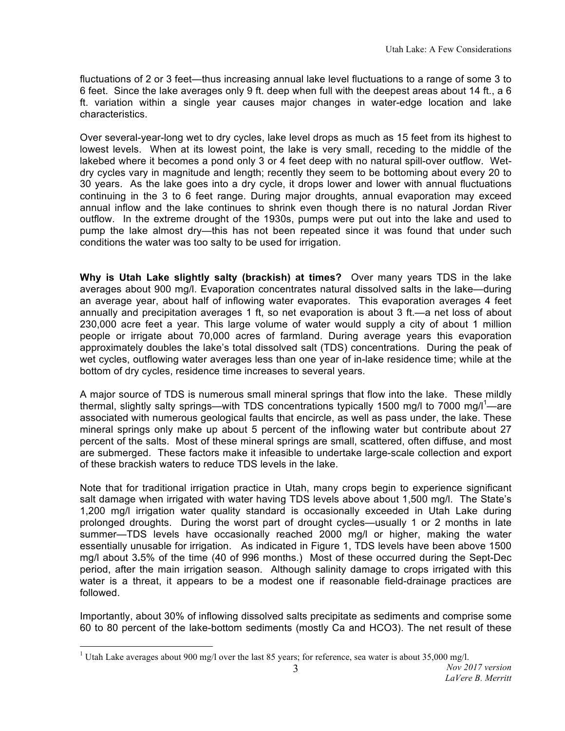fluctuations of 2 or 3 feet—thus increasing annual lake level fluctuations to a range of some 3 to 6 feet. Since the lake averages only 9 ft. deep when full with the deepest areas about 14 ft., a 6 ft. variation within a single year causes major changes in water-edge location and lake characteristics.

Over several-year-long wet to dry cycles, lake level drops as much as 15 feet from its highest to lowest levels. When at its lowest point, the lake is very small, receding to the middle of the lakebed where it becomes a pond only 3 or 4 feet deep with no natural spill-over outflow. Wetdry cycles vary in magnitude and length; recently they seem to be bottoming about every 20 to 30 years. As the lake goes into a dry cycle, it drops lower and lower with annual fluctuations continuing in the 3 to 6 feet range. During major droughts, annual evaporation may exceed annual inflow and the lake continues to shrink even though there is no natural Jordan River outflow. In the extreme drought of the 1930s, pumps were put out into the lake and used to pump the lake almost dry—this has not been repeated since it was found that under such conditions the water was too salty to be used for irrigation.

**Why is Utah Lake slightly salty (brackish) at times?** Over many years TDS in the lake averages about 900 mg/l. Evaporation concentrates natural dissolved salts in the lake—during an average year, about half of inflowing water evaporates. This evaporation averages 4 feet annually and precipitation averages 1 ft, so net evaporation is about 3 ft.—a net loss of about 230,000 acre feet a year. This large volume of water would supply a city of about 1 million people or irrigate about 70,000 acres of farmland. During average years this evaporation approximately doubles the lake's total dissolved salt (TDS) concentrations. During the peak of wet cycles, outflowing water averages less than one year of in-lake residence time; while at the bottom of dry cycles, residence time increases to several years.

A major source of TDS is numerous small mineral springs that flow into the lake. These mildly thermal, slightly salty springs—with TDS concentrations typically 1500 mg/l to 7000 mg/l<sup>1</sup>—are associated with numerous geological faults that encircle, as well as pass under, the lake. These mineral springs only make up about 5 percent of the inflowing water but contribute about 27 percent of the salts. Most of these mineral springs are small, scattered, often diffuse, and most are submerged. These factors make it infeasible to undertake large-scale collection and export of these brackish waters to reduce TDS levels in the lake.

Note that for traditional irrigation practice in Utah, many crops begin to experience significant salt damage when irrigated with water having TDS levels above about 1,500 mg/l. The State's 1,200 mg/l irrigation water quality standard is occasionally exceeded in Utah Lake during prolonged droughts. During the worst part of drought cycles—usually 1 or 2 months in late summer—TDS levels have occasionally reached 2000 mg/l or higher, making the water essentially unusable for irrigation. As indicated in Figure 1, TDS levels have been above 1500 mg/l about 3**.**5% of the time (40 of 996 months.) Most of these occurred during the Sept-Dec period, after the main irrigation season. Although salinity damage to crops irrigated with this water is a threat, it appears to be a modest one if reasonable field-drainage practices are followed.

Importantly, about 30% of inflowing dissolved salts precipitate as sediments and comprise some 60 to 80 percent of the lake-bottom sediments (mostly Ca and HCO3). The net result of these

<sup>&</sup>lt;sup>1</sup> Utah Lake averages about 900 mg/l over the last 85 years; for reference, sea water is about 35,000 mg/l.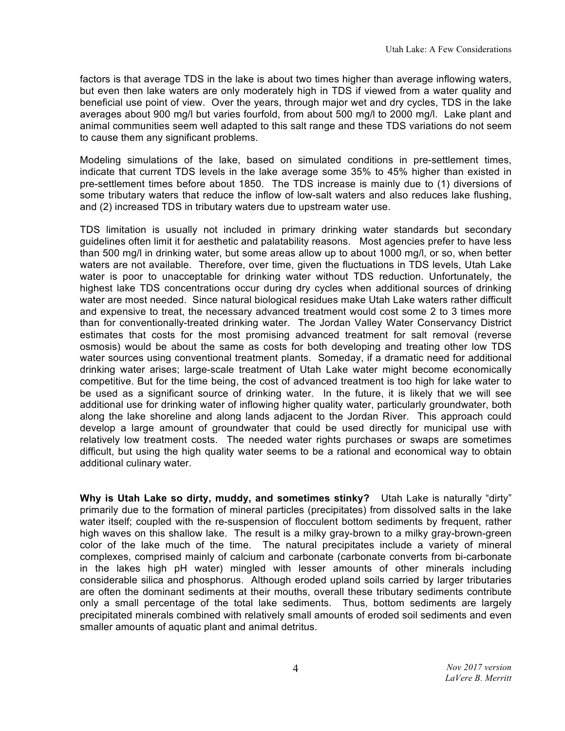factors is that average TDS in the lake is about two times higher than average inflowing waters, but even then lake waters are only moderately high in TDS if viewed from a water quality and beneficial use point of view. Over the years, through major wet and dry cycles, TDS in the lake averages about 900 mg/l but varies fourfold, from about 500 mg/l to 2000 mg/l. Lake plant and animal communities seem well adapted to this salt range and these TDS variations do not seem to cause them any significant problems.

Modeling simulations of the lake, based on simulated conditions in pre-settlement times, indicate that current TDS levels in the lake average some 35% to 45% higher than existed in pre-settlement times before about 1850. The TDS increase is mainly due to (1) diversions of some tributary waters that reduce the inflow of low-salt waters and also reduces lake flushing, and (2) increased TDS in tributary waters due to upstream water use.

TDS limitation is usually not included in primary drinking water standards but secondary guidelines often limit it for aesthetic and palatability reasons. Most agencies prefer to have less than 500 mg/l in drinking water, but some areas allow up to about 1000 mg/l, or so, when better waters are not available. Therefore, over time, given the fluctuations in TDS levels, Utah Lake water is poor to unacceptable for drinking water without TDS reduction. Unfortunately, the highest lake TDS concentrations occur during dry cycles when additional sources of drinking water are most needed. Since natural biological residues make Utah Lake waters rather difficult and expensive to treat, the necessary advanced treatment would cost some 2 to 3 times more than for conventionally-treated drinking water. The Jordan Valley Water Conservancy District estimates that costs for the most promising advanced treatment for salt removal (reverse osmosis) would be about the same as costs for both developing and treating other low TDS water sources using conventional treatment plants. Someday, if a dramatic need for additional drinking water arises; large-scale treatment of Utah Lake water might become economically competitive. But for the time being, the cost of advanced treatment is too high for lake water to be used as a significant source of drinking water. In the future, it is likely that we will see additional use for drinking water of inflowing higher quality water, particularly groundwater, both along the lake shoreline and along lands adjacent to the Jordan River. This approach could develop a large amount of groundwater that could be used directly for municipal use with relatively low treatment costs. The needed water rights purchases or swaps are sometimes difficult, but using the high quality water seems to be a rational and economical way to obtain additional culinary water.

**Why is Utah Lake so dirty, muddy, and sometimes stinky?** Utah Lake is naturally "dirty" primarily due to the formation of mineral particles (precipitates) from dissolved salts in the lake water itself; coupled with the re-suspension of flocculent bottom sediments by frequent, rather high waves on this shallow lake. The result is a milky gray-brown to a milky gray-brown-green color of the lake much of the time. The natural precipitates include a variety of mineral complexes, comprised mainly of calcium and carbonate (carbonate converts from bi-carbonate in the lakes high pH water) mingled with lesser amounts of other minerals including considerable silica and phosphorus. Although eroded upland soils carried by larger tributaries are often the dominant sediments at their mouths, overall these tributary sediments contribute only a small percentage of the total lake sediments. Thus, bottom sediments are largely precipitated minerals combined with relatively small amounts of eroded soil sediments and even smaller amounts of aquatic plant and animal detritus.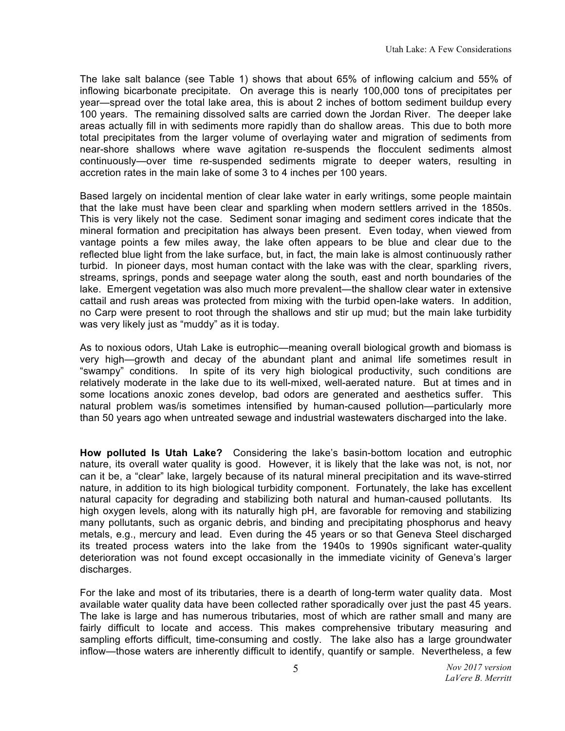The lake salt balance (see Table 1) shows that about 65% of inflowing calcium and 55% of inflowing bicarbonate precipitate. On average this is nearly 100,000 tons of precipitates per year—spread over the total lake area, this is about 2 inches of bottom sediment buildup every 100 years. The remaining dissolved salts are carried down the Jordan River. The deeper lake areas actually fill in with sediments more rapidly than do shallow areas. This due to both more total precipitates from the larger volume of overlaying water and migration of sediments from near-shore shallows where wave agitation re-suspends the flocculent sediments almost continuously—over time re-suspended sediments migrate to deeper waters, resulting in accretion rates in the main lake of some 3 to 4 inches per 100 years.

Based largely on incidental mention of clear lake water in early writings, some people maintain that the lake must have been clear and sparkling when modern settlers arrived in the 1850s. This is very likely not the case. Sediment sonar imaging and sediment cores indicate that the mineral formation and precipitation has always been present. Even today, when viewed from vantage points a few miles away, the lake often appears to be blue and clear due to the reflected blue light from the lake surface, but, in fact, the main lake is almost continuously rather turbid. In pioneer days, most human contact with the lake was with the clear, sparkling rivers, streams, springs, ponds and seepage water along the south, east and north boundaries of the lake. Emergent vegetation was also much more prevalent—the shallow clear water in extensive cattail and rush areas was protected from mixing with the turbid open-lake waters. In addition, no Carp were present to root through the shallows and stir up mud; but the main lake turbidity was very likely just as "muddy" as it is today.

As to noxious odors, Utah Lake is eutrophic—meaning overall biological growth and biomass is very high—growth and decay of the abundant plant and animal life sometimes result in "swampy" conditions. In spite of its very high biological productivity, such conditions are relatively moderate in the lake due to its well-mixed, well-aerated nature. But at times and in some locations anoxic zones develop, bad odors are generated and aesthetics suffer. This natural problem was/is sometimes intensified by human-caused pollution—particularly more than 50 years ago when untreated sewage and industrial wastewaters discharged into the lake.

**How polluted Is Utah Lake?** Considering the lake's basin-bottom location and eutrophic nature, its overall water quality is good. However, it is likely that the lake was not, is not, nor can it be, a "clear" lake, largely because of its natural mineral precipitation and its wave-stirred nature, in addition to its high biological turbidity component. Fortunately, the lake has excellent natural capacity for degrading and stabilizing both natural and human-caused pollutants. Its high oxygen levels, along with its naturally high pH, are favorable for removing and stabilizing many pollutants, such as organic debris, and binding and precipitating phosphorus and heavy metals, e.g., mercury and lead. Even during the 45 years or so that Geneva Steel discharged its treated process waters into the lake from the 1940s to 1990s significant water-quality deterioration was not found except occasionally in the immediate vicinity of Geneva's larger discharges.

For the lake and most of its tributaries, there is a dearth of long-term water quality data. Most available water quality data have been collected rather sporadically over just the past 45 years. The lake is large and has numerous tributaries, most of which are rather small and many are fairly difficult to locate and access. This makes comprehensive tributary measuring and sampling efforts difficult, time-consuming and costly. The lake also has a large groundwater inflow—those waters are inherently difficult to identify, quantify or sample. Nevertheless, a few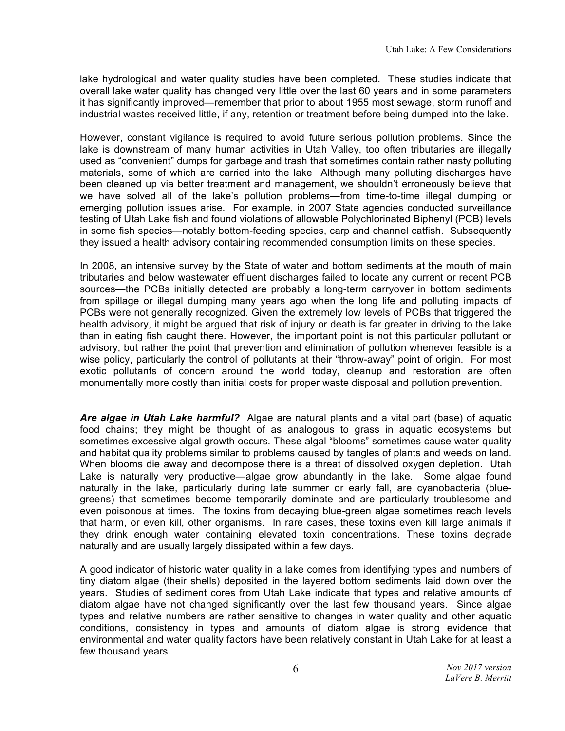lake hydrological and water quality studies have been completed. These studies indicate that overall lake water quality has changed very little over the last 60 years and in some parameters it has significantly improved—remember that prior to about 1955 most sewage, storm runoff and industrial wastes received little, if any, retention or treatment before being dumped into the lake.

However, constant vigilance is required to avoid future serious pollution problems. Since the lake is downstream of many human activities in Utah Valley, too often tributaries are illegally used as "convenient" dumps for garbage and trash that sometimes contain rather nasty polluting materials, some of which are carried into the lake Although many polluting discharges have been cleaned up via better treatment and management, we shouldn't erroneously believe that we have solved all of the lake's pollution problems—from time-to-time illegal dumping or emerging pollution issues arise. For example, in 2007 State agencies conducted surveillance testing of Utah Lake fish and found violations of allowable Polychlorinated Biphenyl (PCB) levels in some fish species—notably bottom-feeding species, carp and channel catfish. Subsequently they issued a health advisory containing recommended consumption limits on these species.

In 2008, an intensive survey by the State of water and bottom sediments at the mouth of main tributaries and below wastewater effluent discharges failed to locate any current or recent PCB sources—the PCBs initially detected are probably a long-term carryover in bottom sediments from spillage or illegal dumping many years ago when the long life and polluting impacts of PCBs were not generally recognized. Given the extremely low levels of PCBs that triggered the health advisory, it might be argued that risk of injury or death is far greater in driving to the lake than in eating fish caught there. However, the important point is not this particular pollutant or advisory, but rather the point that prevention and elimination of pollution whenever feasible is a wise policy, particularly the control of pollutants at their "throw-away" point of origin. For most exotic pollutants of concern around the world today, cleanup and restoration are often monumentally more costly than initial costs for proper waste disposal and pollution prevention.

*Are algae in Utah Lake harmful?* Algae are natural plants and a vital part (base) of aquatic food chains; they might be thought of as analogous to grass in aquatic ecosystems but sometimes excessive algal growth occurs. These algal "blooms" sometimes cause water quality and habitat quality problems similar to problems caused by tangles of plants and weeds on land. When blooms die away and decompose there is a threat of dissolved oxygen depletion. Utah Lake is naturally very productive—algae grow abundantly in the lake. Some algae found naturally in the lake, particularly during late summer or early fall, are cyanobacteria (bluegreens) that sometimes become temporarily dominate and are particularly troublesome and even poisonous at times. The toxins from decaying blue-green algae sometimes reach levels that harm, or even kill, other organisms. In rare cases, these toxins even kill large animals if they drink enough water containing elevated toxin concentrations. These toxins degrade naturally and are usually largely dissipated within a few days.

A good indicator of historic water quality in a lake comes from identifying types and numbers of tiny diatom algae (their shells) deposited in the layered bottom sediments laid down over the years. Studies of sediment cores from Utah Lake indicate that types and relative amounts of diatom algae have not changed significantly over the last few thousand years. Since algae types and relative numbers are rather sensitive to changes in water quality and other aquatic conditions, consistency in types and amounts of diatom algae is strong evidence that environmental and water quality factors have been relatively constant in Utah Lake for at least a few thousand years.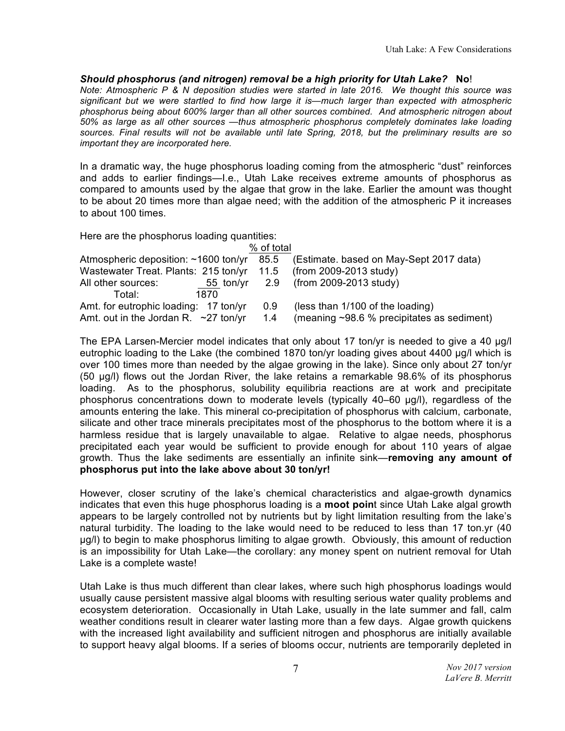## *Should phosphorus (and nitrogen) removal be a high priority for Utah Lake?* **No**!

*Note: Atmospheric P & N deposition studies were started in late 2016. We thought this source was significant but we were startled to find how large it is—much larger than expected with atmospheric phosphorus being about 600% larger than all other sources combined. And atmospheric nitrogen about 50% as large as all other sources —thus atmospheric phosphorus completely dominates lake loading sources. Final results will not be available until late Spring, 2018, but the preliminary results are so important they are incorporated here.*

In a dramatic way, the huge phosphorus loading coming from the atmospheric "dust" reinforces and adds to earlier findings—I.e., Utah Lake receives extreme amounts of phosphorus as compared to amounts used by the algae that grow in the lake. Earlier the amount was thought to be about 20 times more than algae need; with the addition of the atmospheric P it increases to about 100 times.

Here are the phosphorus loading quantities:

| % of total                                                       |     |                                                  |  |  |  |  |  |  |  |  |  |
|------------------------------------------------------------------|-----|--------------------------------------------------|--|--|--|--|--|--|--|--|--|
| Atmospheric deposition: ~1600 ton/yr 85.5                        |     | (Estimate. based on May-Sept 2017 data)          |  |  |  |  |  |  |  |  |  |
| Wastewater Treat. Plants: 215 ton/yr 11.5 (from 2009-2013 study) |     |                                                  |  |  |  |  |  |  |  |  |  |
| All other sources:                                               |     | 55 ton/yr 2.9 (from 2009-2013 study)             |  |  |  |  |  |  |  |  |  |
| Total:<br>1870.                                                  |     |                                                  |  |  |  |  |  |  |  |  |  |
| Amt. for eutrophic loading: 17 ton/yr                            | 0.9 | (less than 1/100 of the loading)                 |  |  |  |  |  |  |  |  |  |
| Amt. out in the Jordan R. $\sim$ 27 ton/yr                       | 1.4 | (meaning $\sim$ 98.6 % precipitates as sediment) |  |  |  |  |  |  |  |  |  |

The EPA Larsen-Mercier model indicates that only about 17 ton/yr is needed to give a 40 µg/l eutrophic loading to the Lake (the combined 1870 ton/yr loading gives about 4400 µg/l which is over 100 times more than needed by the algae growing in the lake). Since only about 27 ton/yr (50 µg/l) flows out the Jordan River, the lake retains a remarkable 98.6% of its phosphorus loading. As to the phosphorus, solubility equilibria reactions are at work and precipitate phosphorus concentrations down to moderate levels (typically 40–60 µg/l), regardless of the amounts entering the lake. This mineral co-precipitation of phosphorus with calcium, carbonate, silicate and other trace minerals precipitates most of the phosphorus to the bottom where it is a harmless residue that is largely unavailable to algae. Relative to algae needs, phosphorus precipitated each year would be sufficient to provide enough for about 110 years of algae growth. Thus the lake sediments are essentially an infinite sink—**removing any amount of phosphorus put into the lake above about 30 ton/yr!**

However, closer scrutiny of the lake's chemical characteristics and algae-growth dynamics indicates that even this huge phosphorus loading is a **moot poin**t since Utah Lake algal growth appears to be largely controlled not by nutrients but by light limitation resulting from the lake's natural turbidity. The loading to the lake would need to be reduced to less than 17 ton.yr (40 µg/l) to begin to make phosphorus limiting to algae growth. Obviously, this amount of reduction is an impossibility for Utah Lake—the corollary: any money spent on nutrient removal for Utah Lake is a complete waste!

Utah Lake is thus much different than clear lakes, where such high phosphorus loadings would usually cause persistent massive algal blooms with resulting serious water quality problems and ecosystem deterioration. Occasionally in Utah Lake, usually in the late summer and fall, calm weather conditions result in clearer water lasting more than a few days. Algae growth quickens with the increased light availability and sufficient nitrogen and phosphorus are initially available to support heavy algal blooms. If a series of blooms occur, nutrients are temporarily depleted in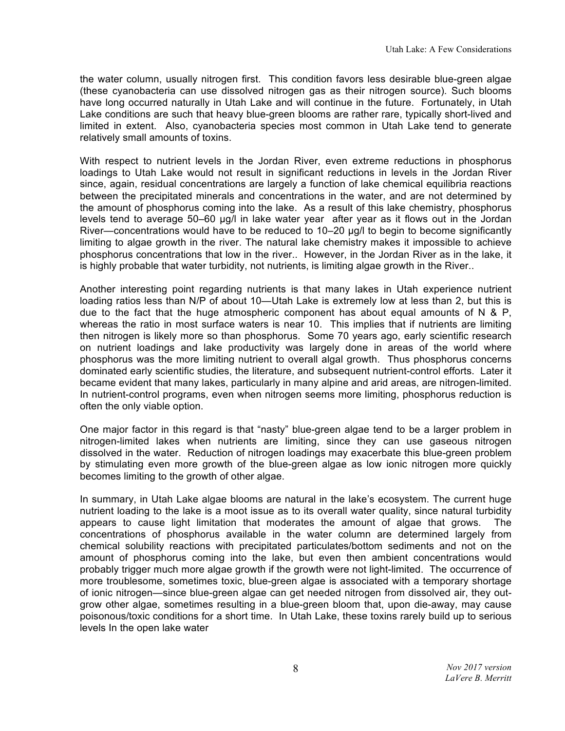the water column, usually nitrogen first. This condition favors less desirable blue-green algae (these cyanobacteria can use dissolved nitrogen gas as their nitrogen source). Such blooms have long occurred naturally in Utah Lake and will continue in the future. Fortunately, in Utah Lake conditions are such that heavy blue-green blooms are rather rare, typically short-lived and limited in extent. Also, cyanobacteria species most common in Utah Lake tend to generate relatively small amounts of toxins.

With respect to nutrient levels in the Jordan River, even extreme reductions in phosphorus loadings to Utah Lake would not result in significant reductions in levels in the Jordan River since, again, residual concentrations are largely a function of lake chemical equilibria reactions between the precipitated minerals and concentrations in the water, and are not determined by the amount of phosphorus coming into the lake. As a result of this lake chemistry, phosphorus levels tend to average 50–60 µg/l in lake water year after year as it flows out in the Jordan River—concentrations would have to be reduced to 10–20 µg/l to begin to become significantly limiting to algae growth in the river. The natural lake chemistry makes it impossible to achieve phosphorus concentrations that low in the river.. However, in the Jordan River as in the lake, it is highly probable that water turbidity, not nutrients, is limiting algae growth in the River..

Another interesting point regarding nutrients is that many lakes in Utah experience nutrient loading ratios less than N/P of about 10—Utah Lake is extremely low at less than 2, but this is due to the fact that the huge atmospheric component has about equal amounts of N & P, whereas the ratio in most surface waters is near 10. This implies that if nutrients are limiting then nitrogen is likely more so than phosphorus. Some 70 years ago, early scientific research on nutrient loadings and lake productivity was largely done in areas of the world where phosphorus was the more limiting nutrient to overall algal growth. Thus phosphorus concerns dominated early scientific studies, the literature, and subsequent nutrient-control efforts. Later it became evident that many lakes, particularly in many alpine and arid areas, are nitrogen-limited. In nutrient-control programs, even when nitrogen seems more limiting, phosphorus reduction is often the only viable option.

One major factor in this regard is that "nasty" blue-green algae tend to be a larger problem in nitrogen-limited lakes when nutrients are limiting, since they can use gaseous nitrogen dissolved in the water. Reduction of nitrogen loadings may exacerbate this blue-green problem by stimulating even more growth of the blue-green algae as low ionic nitrogen more quickly becomes limiting to the growth of other algae.

In summary, in Utah Lake algae blooms are natural in the lake's ecosystem. The current huge nutrient loading to the lake is a moot issue as to its overall water quality, since natural turbidity appears to cause light limitation that moderates the amount of algae that grows. The concentrations of phosphorus available in the water column are determined largely from chemical solubility reactions with precipitated particulates/bottom sediments and not on the amount of phosphorus coming into the lake, but even then ambient concentrations would probably trigger much more algae growth if the growth were not light-limited. The occurrence of more troublesome, sometimes toxic, blue-green algae is associated with a temporary shortage of ionic nitrogen—since blue-green algae can get needed nitrogen from dissolved air, they outgrow other algae, sometimes resulting in a blue-green bloom that, upon die-away, may cause poisonous/toxic conditions for a short time. In Utah Lake, these toxins rarely build up to serious levels In the open lake water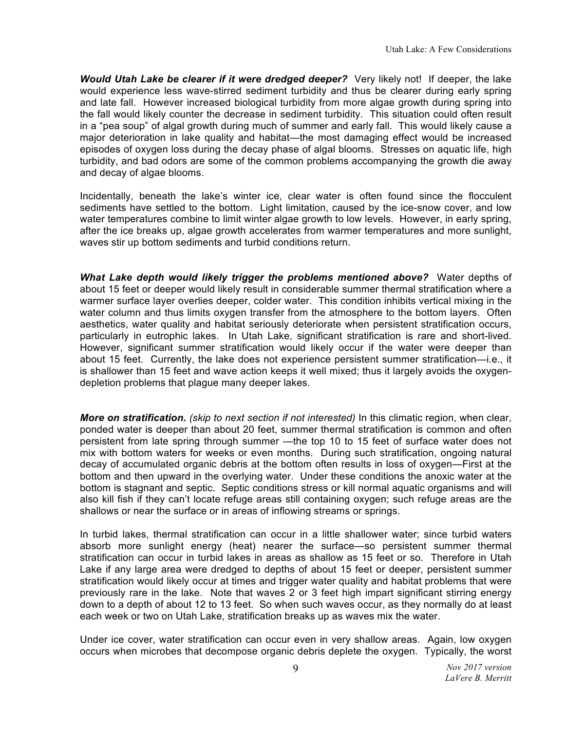*Would Utah Lake be clearer if it were dredged deeper?* Very likely not! If deeper, the lake would experience less wave-stirred sediment turbidity and thus be clearer during early spring and late fall. However increased biological turbidity from more algae growth during spring into the fall would likely counter the decrease in sediment turbidity. This situation could often result in a "pea soup" of algal growth during much of summer and early fall. This would likely cause a major deterioration in lake quality and habitat—the most damaging effect would be increased episodes of oxygen loss during the decay phase of algal blooms. Stresses on aquatic life, high turbidity, and bad odors are some of the common problems accompanying the growth die away and decay of algae blooms.

Incidentally, beneath the lake's winter ice, clear water is often found since the flocculent sediments have settled to the bottom. Light limitation, caused by the ice-snow cover, and low water temperatures combine to limit winter algae growth to low levels. However, in early spring, after the ice breaks up, algae growth accelerates from warmer temperatures and more sunlight, waves stir up bottom sediments and turbid conditions return.

*What Lake depth would likely trigger the problems mentioned above?* Water depths of about 15 feet or deeper would likely result in considerable summer thermal stratification where a warmer surface layer overlies deeper, colder water. This condition inhibits vertical mixing in the water column and thus limits oxygen transfer from the atmosphere to the bottom layers. Often aesthetics, water quality and habitat seriously deteriorate when persistent stratification occurs, particularly in eutrophic lakes. In Utah Lake, significant stratification is rare and short-lived. However, significant summer stratification would likely occur if the water were deeper than about 15 feet. Currently, the lake does not experience persistent summer stratification—i.e., it is shallower than 15 feet and wave action keeps it well mixed; thus it largely avoids the oxygendepletion problems that plague many deeper lakes.

*More on stratification. (skip to next section if not interested)* In this climatic region, when clear, ponded water is deeper than about 20 feet, summer thermal stratification is common and often persistent from late spring through summer —the top 10 to 15 feet of surface water does not mix with bottom waters for weeks or even months. During such stratification, ongoing natural decay of accumulated organic debris at the bottom often results in loss of oxygen—First at the bottom and then upward in the overlying water. Under these conditions the anoxic water at the bottom is stagnant and septic. Septic conditions stress or kill normal aquatic organisms and will also kill fish if they can't locate refuge areas still containing oxygen; such refuge areas are the shallows or near the surface or in areas of inflowing streams or springs.

In turbid lakes, thermal stratification can occur in a little shallower water; since turbid waters absorb more sunlight energy (heat) nearer the surface—so persistent summer thermal stratification can occur in turbid lakes in areas as shallow as 15 feet or so. Therefore in Utah Lake if any large area were dredged to depths of about 15 feet or deeper, persistent summer stratification would likely occur at times and trigger water quality and habitat problems that were previously rare in the lake. Note that waves 2 or 3 feet high impart significant stirring energy down to a depth of about 12 to 13 feet. So when such waves occur, as they normally do at least each week or two on Utah Lake, stratification breaks up as waves mix the water.

Under ice cover, water stratification can occur even in very shallow areas. Again, low oxygen occurs when microbes that decompose organic debris deplete the oxygen. Typically, the worst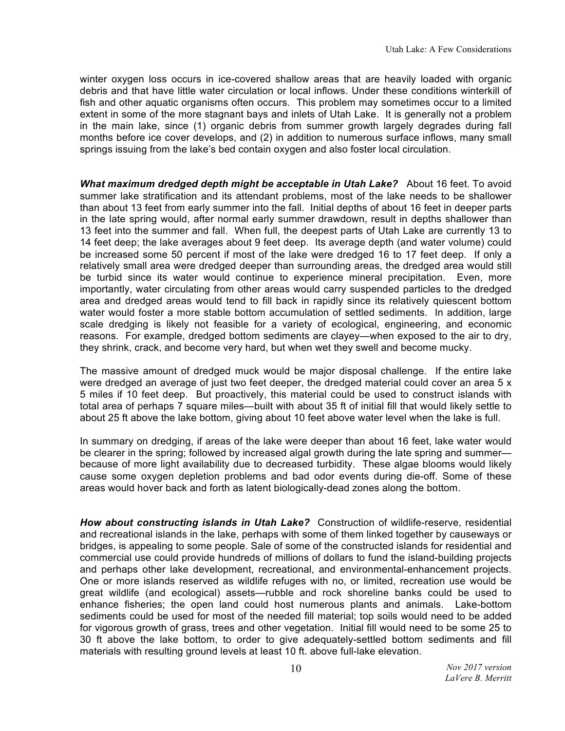winter oxygen loss occurs in ice-covered shallow areas that are heavily loaded with organic debris and that have little water circulation or local inflows. Under these conditions winterkill of fish and other aquatic organisms often occurs. This problem may sometimes occur to a limited extent in some of the more stagnant bays and inlets of Utah Lake. It is generally not a problem in the main lake, since (1) organic debris from summer growth largely degrades during fall months before ice cover develops, and (2) in addition to numerous surface inflows, many small springs issuing from the lake's bed contain oxygen and also foster local circulation.

*What maximum dredged depth might be acceptable in Utah Lake?* About 16 feet. To avoid summer lake stratification and its attendant problems, most of the lake needs to be shallower than about 13 feet from early summer into the fall. Initial depths of about 16 feet in deeper parts in the late spring would, after normal early summer drawdown, result in depths shallower than 13 feet into the summer and fall. When full, the deepest parts of Utah Lake are currently 13 to 14 feet deep; the lake averages about 9 feet deep. Its average depth (and water volume) could be increased some 50 percent if most of the lake were dredged 16 to 17 feet deep. If only a relatively small area were dredged deeper than surrounding areas, the dredged area would still be turbid since its water would continue to experience mineral precipitation. Even, more importantly, water circulating from other areas would carry suspended particles to the dredged area and dredged areas would tend to fill back in rapidly since its relatively quiescent bottom water would foster a more stable bottom accumulation of settled sediments. In addition, large scale dredging is likely not feasible for a variety of ecological, engineering, and economic reasons. For example, dredged bottom sediments are clayey—when exposed to the air to dry, they shrink, crack, and become very hard, but when wet they swell and become mucky.

The massive amount of dredged muck would be major disposal challenge. If the entire lake were dredged an average of just two feet deeper, the dredged material could cover an area 5 x 5 miles if 10 feet deep. But proactively, this material could be used to construct islands with total area of perhaps 7 square miles—built with about 35 ft of initial fill that would likely settle to about 25 ft above the lake bottom, giving about 10 feet above water level when the lake is full.

In summary on dredging, if areas of the lake were deeper than about 16 feet, lake water would be clearer in the spring; followed by increased algal growth during the late spring and summer because of more light availability due to decreased turbidity. These algae blooms would likely cause some oxygen depletion problems and bad odor events during die-off. Some of these areas would hover back and forth as latent biologically-dead zones along the bottom.

*How about constructing islands in Utah Lake?* Construction of wildlife-reserve, residential and recreational islands in the lake, perhaps with some of them linked together by causeways or bridges, is appealing to some people. Sale of some of the constructed islands for residential and commercial use could provide hundreds of millions of dollars to fund the island-building projects and perhaps other lake development, recreational, and environmental-enhancement projects. One or more islands reserved as wildlife refuges with no, or limited, recreation use would be great wildlife (and ecological) assets—rubble and rock shoreline banks could be used to enhance fisheries; the open land could host numerous plants and animals. Lake-bottom sediments could be used for most of the needed fill material; top soils would need to be added for vigorous growth of grass, trees and other vegetation. Initial fill would need to be some 25 to 30 ft above the lake bottom, to order to give adequately-settled bottom sediments and fill materials with resulting ground levels at least 10 ft. above full-lake elevation.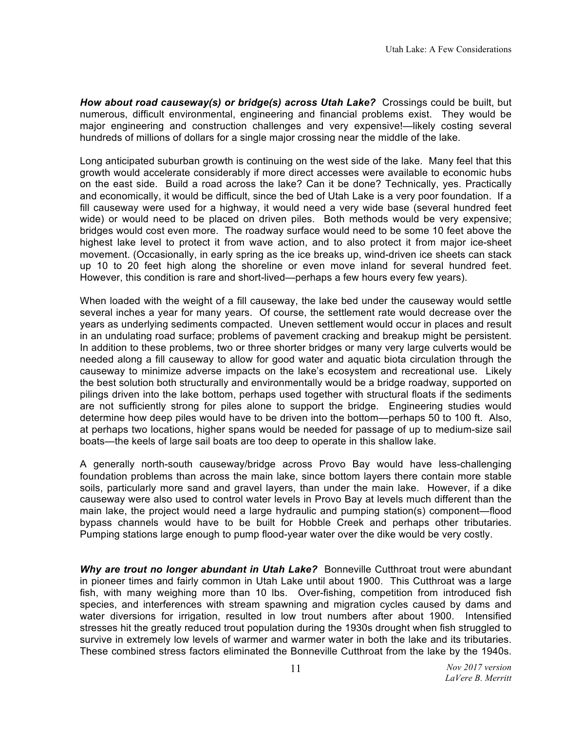*How about road causeway(s) or bridge(s) across Utah Lake?* Crossings could be built, but numerous, difficult environmental, engineering and financial problems exist. They would be major engineering and construction challenges and very expensive!—likely costing several hundreds of millions of dollars for a single major crossing near the middle of the lake.

Long anticipated suburban growth is continuing on the west side of the lake. Many feel that this growth would accelerate considerably if more direct accesses were available to economic hubs on the east side. Build a road across the lake? Can it be done? Technically, yes. Practically and economically, it would be difficult, since the bed of Utah Lake is a very poor foundation. If a fill causeway were used for a highway, it would need a very wide base (several hundred feet wide) or would need to be placed on driven piles. Both methods would be very expensive; bridges would cost even more. The roadway surface would need to be some 10 feet above the highest lake level to protect it from wave action, and to also protect it from major ice-sheet movement. (Occasionally, in early spring as the ice breaks up, wind-driven ice sheets can stack up 10 to 20 feet high along the shoreline or even move inland for several hundred feet. However, this condition is rare and short-lived—perhaps a few hours every few years).

When loaded with the weight of a fill causeway, the lake bed under the causeway would settle several inches a year for many years. Of course, the settlement rate would decrease over the years as underlying sediments compacted. Uneven settlement would occur in places and result in an undulating road surface; problems of pavement cracking and breakup might be persistent. In addition to these problems, two or three shorter bridges or many very large culverts would be needed along a fill causeway to allow for good water and aquatic biota circulation through the causeway to minimize adverse impacts on the lake's ecosystem and recreational use. Likely the best solution both structurally and environmentally would be a bridge roadway, supported on pilings driven into the lake bottom, perhaps used together with structural floats if the sediments are not sufficiently strong for piles alone to support the bridge. Engineering studies would determine how deep piles would have to be driven into the bottom—perhaps 50 to 100 ft. Also, at perhaps two locations, higher spans would be needed for passage of up to medium-size sail boats—the keels of large sail boats are too deep to operate in this shallow lake.

A generally north-south causeway/bridge across Provo Bay would have less-challenging foundation problems than across the main lake, since bottom layers there contain more stable soils, particularly more sand and gravel layers, than under the main lake. However, if a dike causeway were also used to control water levels in Provo Bay at levels much different than the main lake, the project would need a large hydraulic and pumping station(s) component—flood bypass channels would have to be built for Hobble Creek and perhaps other tributaries. Pumping stations large enough to pump flood-year water over the dike would be very costly.

*Why are trout no longer abundant in Utah Lake?* Bonneville Cutthroat trout were abundant in pioneer times and fairly common in Utah Lake until about 1900. This Cutthroat was a large fish, with many weighing more than 10 lbs. Over-fishing, competition from introduced fish species, and interferences with stream spawning and migration cycles caused by dams and water diversions for irrigation, resulted in low trout numbers after about 1900. Intensified stresses hit the greatly reduced trout population during the 1930s drought when fish struggled to survive in extremely low levels of warmer and warmer water in both the lake and its tributaries. These combined stress factors eliminated the Bonneville Cutthroat from the lake by the 1940s.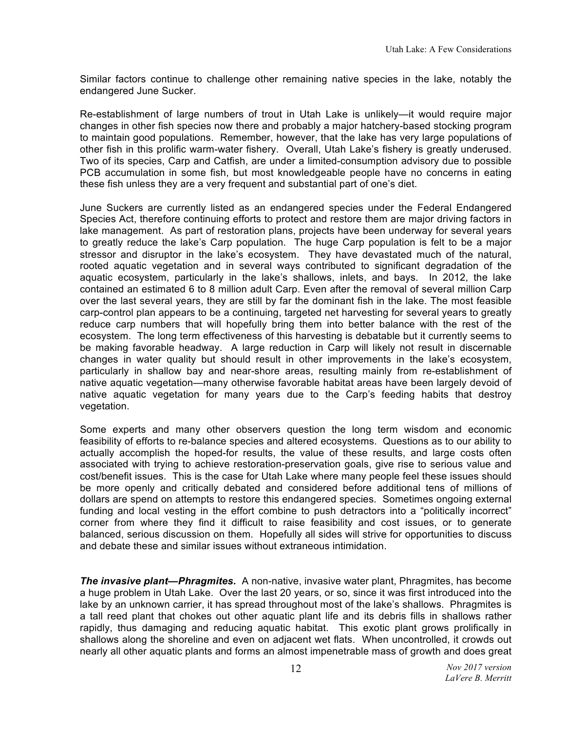Similar factors continue to challenge other remaining native species in the lake, notably the endangered June Sucker.

Re-establishment of large numbers of trout in Utah Lake is unlikely—it would require major changes in other fish species now there and probably a major hatchery-based stocking program to maintain good populations. Remember, however, that the lake has very large populations of other fish in this prolific warm-water fishery. Overall, Utah Lake's fishery is greatly underused. Two of its species, Carp and Catfish, are under a limited-consumption advisory due to possible PCB accumulation in some fish, but most knowledgeable people have no concerns in eating these fish unless they are a very frequent and substantial part of one's diet.

June Suckers are currently listed as an endangered species under the Federal Endangered Species Act, therefore continuing efforts to protect and restore them are major driving factors in lake management. As part of restoration plans, projects have been underway for several years to greatly reduce the lake's Carp population. The huge Carp population is felt to be a major stressor and disruptor in the lake's ecosystem. They have devastated much of the natural, rooted aquatic vegetation and in several ways contributed to significant degradation of the aquatic ecosystem, particularly in the lake's shallows, inlets, and bays. In 2012, the lake contained an estimated 6 to 8 million adult Carp. Even after the removal of several million Carp over the last several years, they are still by far the dominant fish in the lake. The most feasible carp-control plan appears to be a continuing, targeted net harvesting for several years to greatly reduce carp numbers that will hopefully bring them into better balance with the rest of the ecosystem. The long term effectiveness of this harvesting is debatable but it currently seems to be making favorable headway. A large reduction in Carp will likely not result in discernable changes in water quality but should result in other improvements in the lake's ecosystem, particularly in shallow bay and near-shore areas, resulting mainly from re-establishment of native aquatic vegetation—many otherwise favorable habitat areas have been largely devoid of native aquatic vegetation for many years due to the Carp's feeding habits that destroy vegetation.

Some experts and many other observers question the long term wisdom and economic feasibility of efforts to re-balance species and altered ecosystems. Questions as to our ability to actually accomplish the hoped-for results, the value of these results, and large costs often associated with trying to achieve restoration-preservation goals, give rise to serious value and cost/benefit issues. This is the case for Utah Lake where many people feel these issues should be more openly and critically debated and considered before additional tens of millions of dollars are spend on attempts to restore this endangered species. Sometimes ongoing external funding and local vesting in the effort combine to push detractors into a "politically incorrect" corner from where they find it difficult to raise feasibility and cost issues, or to generate balanced, serious discussion on them. Hopefully all sides will strive for opportunities to discuss and debate these and similar issues without extraneous intimidation.

*The invasive plant—Phragmites.* A non-native, invasive water plant, Phragmites, has become a huge problem in Utah Lake. Over the last 20 years, or so, since it was first introduced into the lake by an unknown carrier, it has spread throughout most of the lake's shallows. Phragmites is a tall reed plant that chokes out other aquatic plant life and its debris fills in shallows rather rapidly, thus damaging and reducing aquatic habitat. This exotic plant grows prolifically in shallows along the shoreline and even on adjacent wet flats. When uncontrolled, it crowds out nearly all other aquatic plants and forms an almost impenetrable mass of growth and does great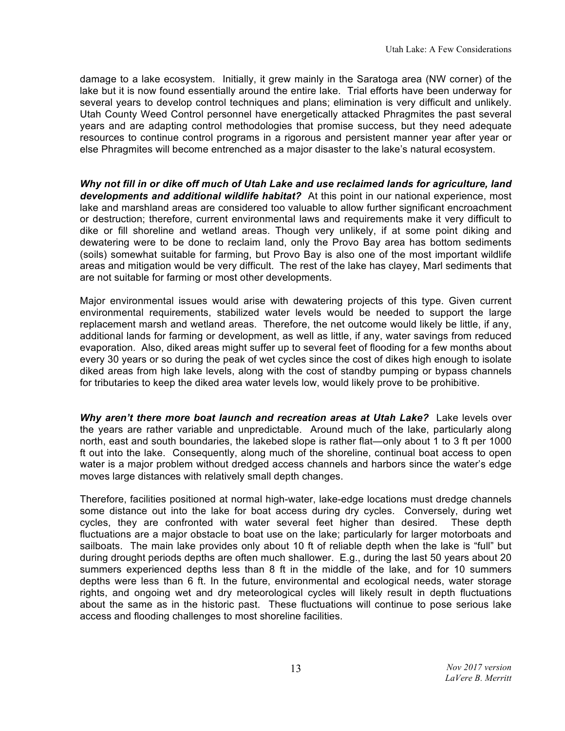damage to a lake ecosystem. Initially, it grew mainly in the Saratoga area (NW corner) of the lake but it is now found essentially around the entire lake. Trial efforts have been underway for several years to develop control techniques and plans; elimination is very difficult and unlikely. Utah County Weed Control personnel have energetically attacked Phragmites the past several years and are adapting control methodologies that promise success, but they need adequate resources to continue control programs in a rigorous and persistent manner year after year or else Phragmites will become entrenched as a major disaster to the lake's natural ecosystem.

*Why not fill in or dike off much of Utah Lake and use reclaimed lands for agriculture, land developments and additional wildlife habitat?* At this point in our national experience, most lake and marshland areas are considered too valuable to allow further significant encroachment or destruction; therefore, current environmental laws and requirements make it very difficult to dike or fill shoreline and wetland areas. Though very unlikely, if at some point diking and dewatering were to be done to reclaim land, only the Provo Bay area has bottom sediments (soils) somewhat suitable for farming, but Provo Bay is also one of the most important wildlife areas and mitigation would be very difficult. The rest of the lake has clayey, Marl sediments that are not suitable for farming or most other developments.

Major environmental issues would arise with dewatering projects of this type. Given current environmental requirements, stabilized water levels would be needed to support the large replacement marsh and wetland areas. Therefore, the net outcome would likely be little, if any, additional lands for farming or development, as well as little, if any, water savings from reduced evaporation. Also, diked areas might suffer up to several feet of flooding for a few months about every 30 years or so during the peak of wet cycles since the cost of dikes high enough to isolate diked areas from high lake levels, along with the cost of standby pumping or bypass channels for tributaries to keep the diked area water levels low, would likely prove to be prohibitive.

*Why aren't there more boat launch and recreation areas at Utah Lake?* Lake levels over the years are rather variable and unpredictable. Around much of the lake, particularly along north, east and south boundaries, the lakebed slope is rather flat—only about 1 to 3 ft per 1000 ft out into the lake. Consequently, along much of the shoreline, continual boat access to open water is a major problem without dredged access channels and harbors since the water's edge moves large distances with relatively small depth changes.

Therefore, facilities positioned at normal high-water, lake-edge locations must dredge channels some distance out into the lake for boat access during dry cycles. Conversely, during wet cycles, they are confronted with water several feet higher than desired. These depth fluctuations are a major obstacle to boat use on the lake; particularly for larger motorboats and sailboats. The main lake provides only about 10 ft of reliable depth when the lake is "full" but during drought periods depths are often much shallower. E.g., during the last 50 years about 20 summers experienced depths less than 8 ft in the middle of the lake, and for 10 summers depths were less than 6 ft. In the future, environmental and ecological needs, water storage rights, and ongoing wet and dry meteorological cycles will likely result in depth fluctuations about the same as in the historic past. These fluctuations will continue to pose serious lake access and flooding challenges to most shoreline facilities.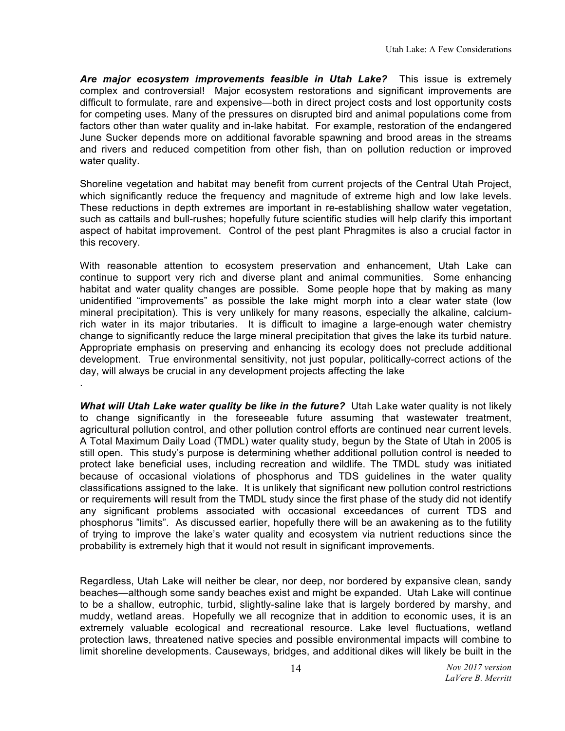*Are major ecosystem improvements feasible in Utah Lake?* This issue is extremely complex and controversial! Major ecosystem restorations and significant improvements are difficult to formulate, rare and expensive—both in direct project costs and lost opportunity costs for competing uses. Many of the pressures on disrupted bird and animal populations come from factors other than water quality and in-lake habitat. For example, restoration of the endangered June Sucker depends more on additional favorable spawning and brood areas in the streams and rivers and reduced competition from other fish, than on pollution reduction or improved water quality.

Shoreline vegetation and habitat may benefit from current projects of the Central Utah Project, which significantly reduce the frequency and magnitude of extreme high and low lake levels. These reductions in depth extremes are important in re-establishing shallow water vegetation, such as cattails and bull-rushes; hopefully future scientific studies will help clarify this important aspect of habitat improvement. Control of the pest plant Phragmites is also a crucial factor in this recovery.

With reasonable attention to ecosystem preservation and enhancement, Utah Lake can continue to support very rich and diverse plant and animal communities. Some enhancing habitat and water quality changes are possible. Some people hope that by making as many unidentified "improvements" as possible the lake might morph into a clear water state (low mineral precipitation). This is very unlikely for many reasons, especially the alkaline, calciumrich water in its major tributaries. It is difficult to imagine a large-enough water chemistry change to significantly reduce the large mineral precipitation that gives the lake its turbid nature. Appropriate emphasis on preserving and enhancing its ecology does not preclude additional development. True environmental sensitivity, not just popular, politically-correct actions of the day, will always be crucial in any development projects affecting the lake

.

*What will Utah Lake water quality be like in the future?* Utah Lake water quality is not likely to change significantly in the foreseeable future assuming that wastewater treatment, agricultural pollution control, and other pollution control efforts are continued near current levels. A Total Maximum Daily Load (TMDL) water quality study, begun by the State of Utah in 2005 is still open. This study's purpose is determining whether additional pollution control is needed to protect lake beneficial uses, including recreation and wildlife. The TMDL study was initiated because of occasional violations of phosphorus and TDS guidelines in the water quality classifications assigned to the lake. It is unlikely that significant new pollution control restrictions or requirements will result from the TMDL study since the first phase of the study did not identify any significant problems associated with occasional exceedances of current TDS and phosphorus "limits". As discussed earlier, hopefully there will be an awakening as to the futility of trying to improve the lake's water quality and ecosystem via nutrient reductions since the probability is extremely high that it would not result in significant improvements.

Regardless, Utah Lake will neither be clear, nor deep, nor bordered by expansive clean, sandy beaches—although some sandy beaches exist and might be expanded. Utah Lake will continue to be a shallow, eutrophic, turbid, slightly-saline lake that is largely bordered by marshy, and muddy, wetland areas. Hopefully we all recognize that in addition to economic uses, it is an extremely valuable ecological and recreational resource. Lake level fluctuations, wetland protection laws, threatened native species and possible environmental impacts will combine to limit shoreline developments. Causeways, bridges, and additional dikes will likely be built in the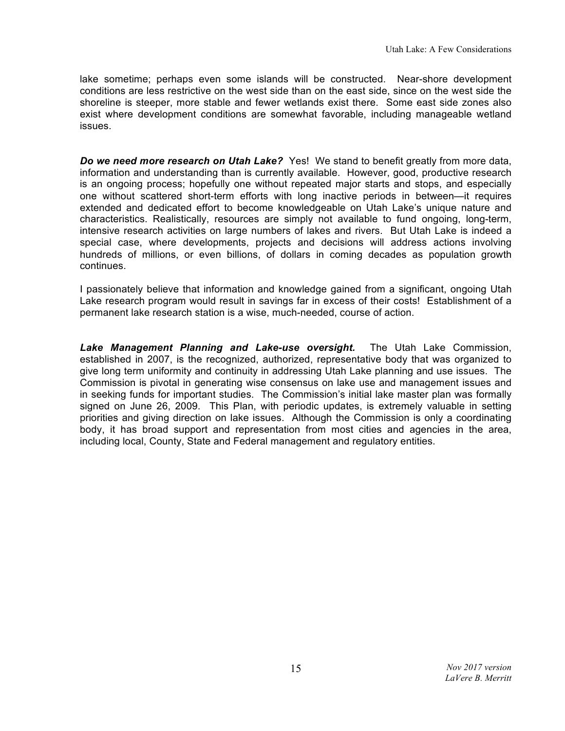lake sometime; perhaps even some islands will be constructed. Near-shore development conditions are less restrictive on the west side than on the east side, since on the west side the shoreline is steeper, more stable and fewer wetlands exist there. Some east side zones also exist where development conditions are somewhat favorable, including manageable wetland issues.

**Do we need more research on Utah Lake?** Yes! We stand to benefit greatly from more data, information and understanding than is currently available. However, good, productive research is an ongoing process; hopefully one without repeated major starts and stops, and especially one without scattered short-term efforts with long inactive periods in between—it requires extended and dedicated effort to become knowledgeable on Utah Lake's unique nature and characteristics. Realistically, resources are simply not available to fund ongoing, long-term, intensive research activities on large numbers of lakes and rivers. But Utah Lake is indeed a special case, where developments, projects and decisions will address actions involving hundreds of millions, or even billions, of dollars in coming decades as population growth continues.

I passionately believe that information and knowledge gained from a significant, ongoing Utah Lake research program would result in savings far in excess of their costs! Establishment of a permanent lake research station is a wise, much-needed, course of action.

*Lake Management Planning and Lake-use oversight.* The Utah Lake Commission, established in 2007, is the recognized, authorized, representative body that was organized to give long term uniformity and continuity in addressing Utah Lake planning and use issues. The Commission is pivotal in generating wise consensus on lake use and management issues and in seeking funds for important studies. The Commission's initial lake master plan was formally signed on June 26, 2009. This Plan, with periodic updates, is extremely valuable in setting priorities and giving direction on lake issues. Although the Commission is only a coordinating body, it has broad support and representation from most cities and agencies in the area, including local, County, State and Federal management and regulatory entities.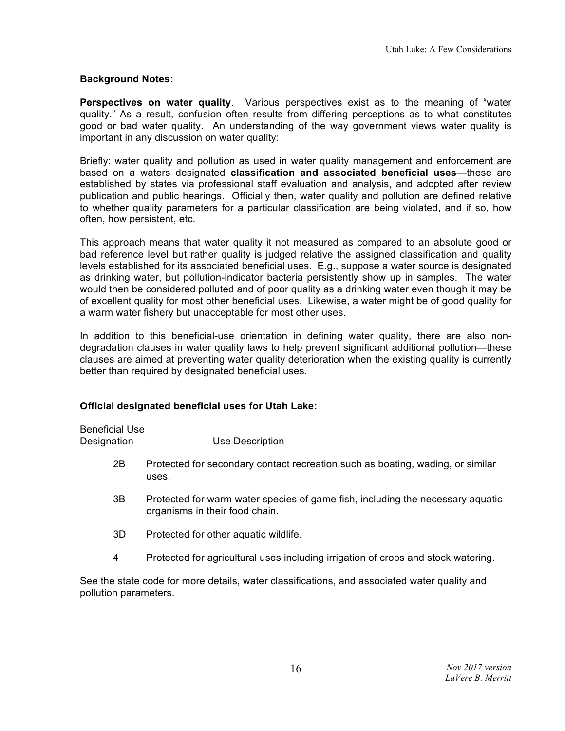## **Background Notes:**

**Perspectives on water quality**. Various perspectives exist as to the meaning of "water quality." As a result, confusion often results from differing perceptions as to what constitutes good or bad water quality. An understanding of the way government views water quality is important in any discussion on water quality:

Briefly: water quality and pollution as used in water quality management and enforcement are based on a waters designated **classification and associated beneficial uses**—these are established by states via professional staff evaluation and analysis, and adopted after review publication and public hearings. Officially then, water quality and pollution are defined relative to whether quality parameters for a particular classification are being violated, and if so, how often, how persistent, etc.

This approach means that water quality it not measured as compared to an absolute good or bad reference level but rather quality is judged relative the assigned classification and quality levels established for its associated beneficial uses. E.g., suppose a water source is designated as drinking water, but pollution-indicator bacteria persistently show up in samples. The water would then be considered polluted and of poor quality as a drinking water even though it may be of excellent quality for most other beneficial uses. Likewise, a water might be of good quality for a warm water fishery but unacceptable for most other uses.

In addition to this beneficial-use orientation in defining water quality, there are also nondegradation clauses in water quality laws to help prevent significant additional pollution—these clauses are aimed at preventing water quality deterioration when the existing quality is currently better than required by designated beneficial uses.

## **Official designated beneficial uses for Utah Lake:**

Designation Use Description

Beneficial Use

- 2B Protected for secondary contact recreation such as boating, wading, or similar uses.
- 3B Protected for warm water species of game fish, including the necessary aquatic organisms in their food chain.
- 3D Protected for other aquatic wildlife.
- 4 Protected for agricultural uses including irrigation of crops and stock watering.

See the state code for more details, water classifications, and associated water quality and pollution parameters.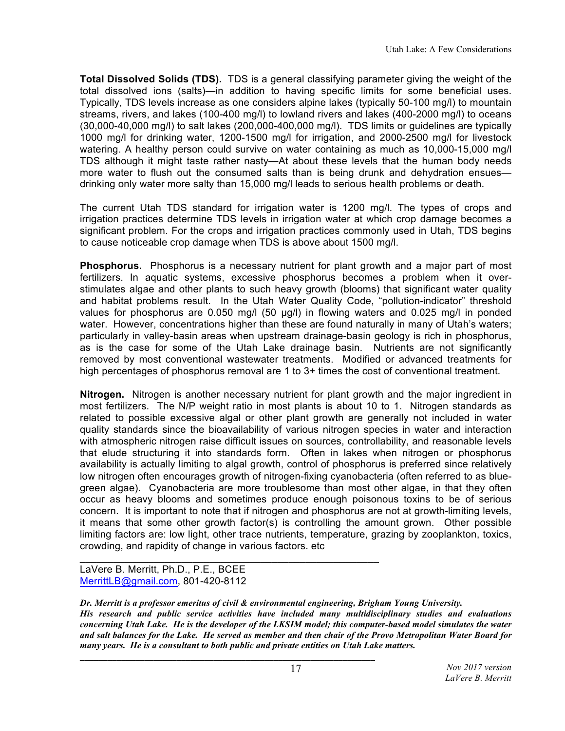**Total Dissolved Solids (TDS).** TDS is a general classifying parameter giving the weight of the total dissolved ions (salts)—in addition to having specific limits for some beneficial uses. Typically, TDS levels increase as one considers alpine lakes (typically 50-100 mg/l) to mountain streams, rivers, and lakes (100-400 mg/l) to lowland rivers and lakes (400-2000 mg/l) to oceans (30,000-40,000 mg/l) to salt lakes (200,000-400,000 mg/l). TDS limits or guidelines are typically 1000 mg/l for drinking water, 1200-1500 mg/l for irrigation, and 2000-2500 mg/l for livestock watering. A healthy person could survive on water containing as much as 10,000-15,000 mg/l TDS although it might taste rather nasty—At about these levels that the human body needs more water to flush out the consumed salts than is being drunk and dehydration ensues drinking only water more salty than 15,000 mg/l leads to serious health problems or death.

The current Utah TDS standard for irrigation water is 1200 mg/l. The types of crops and irrigation practices determine TDS levels in irrigation water at which crop damage becomes a significant problem. For the crops and irrigation practices commonly used in Utah, TDS begins to cause noticeable crop damage when TDS is above about 1500 mg/l.

**Phosphorus.** Phosphorus is a necessary nutrient for plant growth and a major part of most fertilizers. In aquatic systems, excessive phosphorus becomes a problem when it overstimulates algae and other plants to such heavy growth (blooms) that significant water quality and habitat problems result. In the Utah Water Quality Code, "pollution-indicator" threshold values for phosphorus are 0.050 mg/l (50 µg/l) in flowing waters and 0.025 mg/l in ponded water. However, concentrations higher than these are found naturally in many of Utah's waters; particularly in valley-basin areas when upstream drainage-basin geology is rich in phosphorus, as is the case for some of the Utah Lake drainage basin. Nutrients are not significantly removed by most conventional wastewater treatments. Modified or advanced treatments for high percentages of phosphorus removal are 1 to 3+ times the cost of conventional treatment.

**Nitrogen.** Nitrogen is another necessary nutrient for plant growth and the major ingredient in most fertilizers. The N/P weight ratio in most plants is about 10 to 1. Nitrogen standards as related to possible excessive algal or other plant growth are generally not included in water quality standards since the bioavailability of various nitrogen species in water and interaction with atmospheric nitrogen raise difficult issues on sources, controllability, and reasonable levels that elude structuring it into standards form. Often in lakes when nitrogen or phosphorus availability is actually limiting to algal growth, control of phosphorus is preferred since relatively low nitrogen often encourages growth of nitrogen-fixing cyanobacteria (often referred to as bluegreen algae). Cyanobacteria are more troublesome than most other algae, in that they often occur as heavy blooms and sometimes produce enough poisonous toxins to be of serious concern. It is important to note that if nitrogen and phosphorus are not at growth-limiting levels, it means that some other growth factor(s) is controlling the amount grown. Other possible limiting factors are: low light, other trace nutrients, temperature, grazing by zooplankton, toxics, crowding, and rapidity of change in various factors. etc

LaVere B. Merritt, Ph.D., P.E., BCEE MerrittLB@gmail.com, 801-420-8112

 $\mathcal{L}_\mathcal{L}$  , and the set of the set of the set of the set of the set of the set of the set of the set of the set of the set of the set of the set of the set of the set of the set of the set of the set of the set of th

*Dr. Merritt is a professor emeritus of civil & environmental engineering, Brigham Young University. His research and public service activities have included many multidisciplinary studies and evaluations concerning Utah Lake. He is the developer of the LKSIM model; this computer-based model simulates the water and salt balances for the Lake. He served as member and then chair of the Provo Metropolitan Water Board for many years. He is a consultant to both public and private entities on Utah Lake matters.* **\_\_\_\_\_\_\_\_\_\_\_\_\_\_\_\_\_\_\_\_\_\_\_\_\_\_\_\_\_\_\_\_\_\_\_\_\_\_\_\_\_\_\_\_\_\_\_\_\_\_\_\_\_\_\_\_\_\_\_\_\_\_\_\_**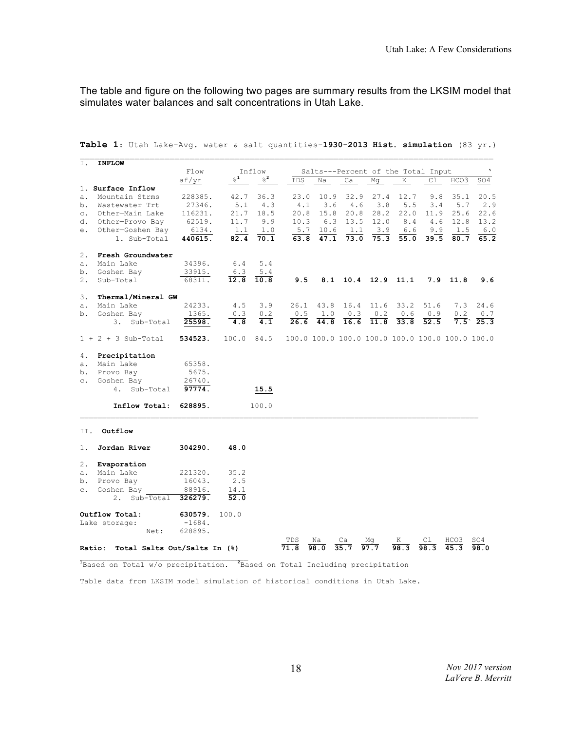The table and figure on the following two pages are summary results from the LKSIM model that simulates water balances and salt concentrations in Utah Lake.

| Ι.        | <b>INFLOW</b>                                                                                      |          |                    |            |                                                   |             |                    |      |      |                                                 |      |      |
|-----------|----------------------------------------------------------------------------------------------------|----------|--------------------|------------|---------------------------------------------------|-------------|--------------------|------|------|-------------------------------------------------|------|------|
|           |                                                                                                    | Flow     | Inflow             |            | $\mathbf v$<br>Salts---Percent of the Total Input |             |                    |      |      |                                                 |      |      |
|           |                                                                                                    | af/yr    | $_\odot^{\rm o}$ 1 | $2^2$      | TDS                                               | Na          | Ca                 | Mq   | K    | Сl                                              | HCO3 | SO4  |
|           | 1. Surface Inflow                                                                                  |          |                    |            |                                                   |             |                    |      |      |                                                 |      |      |
| a.        | Mountain Strms                                                                                     | 228385.  | 42.7               | 36.3       | 23.0                                              | 10.9        | 32.9               | 27.4 | 12.7 | 9.8                                             | 35.1 | 20.5 |
| b.        | Wastewater Trt                                                                                     | 27346.   | 5.1                | 4.3        | 4.1                                               | 3.6         | 4.6                | 3.8  | 5.5  | 3.4                                             | 5.7  | 2.9  |
| $\circ$ . | Other-Main Lake                                                                                    | 116231.  | 21.7               | 18.5       | 20.8                                              | 15.8        | 20.8               | 28.2 | 22.0 | 11.9                                            | 25.6 | 22.6 |
| d.        | Other-Provo Bay                                                                                    | 62519.   | 11.7               | 9.9        | 10.3                                              | 6.3         | 13.5               | 12.0 | 8.4  | 4.6                                             | 12.8 | 13.2 |
| е.        | Other-Goshen Bay                                                                                   | 6134.    | 1.1                | 1.0        | 5.7                                               | 10.6        | 1.1                | 3.9  | 6.6  | 9.9                                             | 1.5  | 6.0  |
|           | 1. Sub-Total                                                                                       | 440615.  | 82.4               | 70.1       | 63.8                                              | 47.1        | 73.0               | 75.3 | 55.0 | 39.5                                            | 80.7 | 65.2 |
| 2.        | Fresh Groundwater                                                                                  |          |                    |            |                                                   |             |                    |      |      |                                                 |      |      |
| $a$ .     | Main Lake                                                                                          | 34396.   | 6.4                | 5.4        |                                                   |             |                    |      |      |                                                 |      |      |
|           | b. Goshen Bay                                                                                      | 33915.   | 6.3                | 5.4        |                                                   |             |                    |      |      |                                                 |      |      |
| 2.        | Sub-Total                                                                                          | 68311.   | 12.8               | 10.8       | 9.5                                               |             | 8.1 10.4 12.9 11.1 |      |      | 7.9                                             | 11.8 | 9.6  |
| 3.        | Thermal/Mineral GW                                                                                 |          |                    |            |                                                   |             |                    |      |      |                                                 |      |      |
| а.        | Main Lake                                                                                          | 24233.   | 4.5                | 3.9        |                                                   | $26.1$ 43.8 | 16.4               | 11.6 | 33.2 | 51.6                                            | 7.3  | 24.6 |
| b.        | Goshen Bay                                                                                         | 1365.    | 0.3                | 0.2        | 0.5                                               | 1.0         | 0.3                | 0.2  | 0.6  | 0.9                                             | 0.2  | 0.7  |
|           | 3.<br>Sub-Total                                                                                    | 25598.   | 4.8                | 4.1        | 26.6                                              | 44.8        | 16.6               | 11.8 | 33.8 | 52.5                                            | 7.5  | 25.3 |
|           | $1 + 2 + 3$ Sub-Total                                                                              | 534523.  |                    | 100.0 84.5 |                                                   |             |                    |      |      | 100.0 100.0 100.0 100.0 100.0 100.0 100.0 100.0 |      |      |
| 4.        | Precipitation                                                                                      |          |                    |            |                                                   |             |                    |      |      |                                                 |      |      |
| а.        | Main Lake                                                                                          | 65358.   |                    |            |                                                   |             |                    |      |      |                                                 |      |      |
| b.        | Provo Bay                                                                                          | 5675.    |                    |            |                                                   |             |                    |      |      |                                                 |      |      |
| $\circ$ . | Goshen Bay                                                                                         | 26740.   |                    |            |                                                   |             |                    |      |      |                                                 |      |      |
|           | Sub-Total<br>4.                                                                                    | 97774.   |                    | 15.5       |                                                   |             |                    |      |      |                                                 |      |      |
|           | Inflow Total:                                                                                      | 628895.  |                    | 100.0      |                                                   |             |                    |      |      |                                                 |      |      |
| II.       | Outflow                                                                                            |          |                    |            |                                                   |             |                    |      |      |                                                 |      |      |
| 1.        | Jordan River                                                                                       | 304290.  | 48.0               |            |                                                   |             |                    |      |      |                                                 |      |      |
| 2.        | Evaporation                                                                                        |          |                    |            |                                                   |             |                    |      |      |                                                 |      |      |
| a.        | Main Lake                                                                                          | 221320.  | 35.2               |            |                                                   |             |                    |      |      |                                                 |      |      |
|           | b. Provo Bay                                                                                       | 16043.   | 2.5                |            |                                                   |             |                    |      |      |                                                 |      |      |
| $\circ$ . | Goshen Bay                                                                                         | 88916.   | 14.1               |            |                                                   |             |                    |      |      |                                                 |      |      |
|           | Sub-Total<br>2.                                                                                    | 326279.  | 52.0               |            |                                                   |             |                    |      |      |                                                 |      |      |
|           | Outflow Total:                                                                                     | 630579.  | 100.0              |            |                                                   |             |                    |      |      |                                                 |      |      |
|           | Lake storage:                                                                                      | $-1684.$ |                    |            |                                                   |             |                    |      |      |                                                 |      |      |
|           | Net:                                                                                               | 628895.  |                    |            |                                                   |             |                    |      |      |                                                 |      |      |
|           |                                                                                                    |          |                    |            | TDS                                               | Na          | Ca                 |      | Κ    |                                                 | HCO3 | SO4  |
|           | Total Salts Out/Salts In (%)<br>Ratio:                                                             |          |                    |            | 71.8                                              | 98.0        | 35.7               | 97.7 | 98.3 | 98.3                                            |      | 98.0 |
|           | <sup>1</sup> Based on Total w/o precipitation. <sup>2</sup> Based on Total Including precipitation |          |                    |            |                                                   |             |                    |      |      |                                                 |      |      |

**Table 1**: Utah Lake-Avg. water & salt quantities-**1930-2013 Hist. simulation** (83 yr.)

Table data from LKSIM model simulation of historical conditions in Utah Lake.